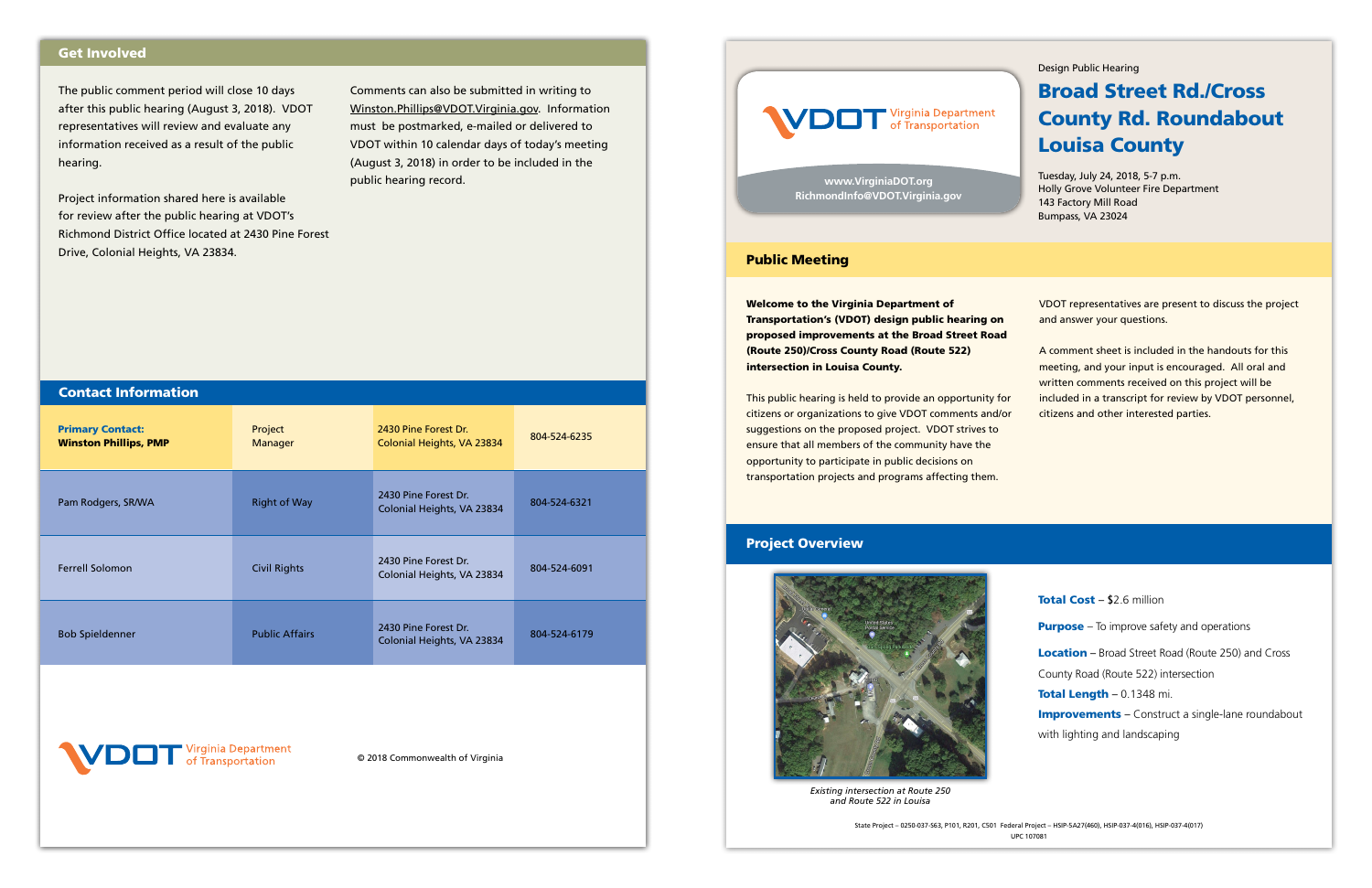

*Existing intersection at Route 250 and Route 522 in Louisa*

#### Design Public Hearing

# Broad Street Rd./Cross County Rd. Roundabout Louisa County

Tuesday, July 24, 2018, 5-7 p.m. Holly Grove Volunteer Fire Department 143 Factory Mill Road Bumpass, VA 23024

Welcome to the Virginia Department of Transportation's (VDOT) design public hearing on proposed improvements at the Broad Street Road (Route 250)/Cross County Road (Route 522) intersection in Louisa County.

> Total Cost - \$2.6 million **Purpose** – To improve safety and operations Location – Broad Street Road (Route 250) and Cross County Road (Route 522) intersection Total Length - 0.1348 mi. **Improvements** – Construct a single-lane roundabout with lighting and landscaping

This public hearing is held to provide an opportunity for citizens or organizations to give VDOT comments and/or suggestions on the proposed project. VDOT strives to ensure that all members of the community have the opportunity to participate in public decisions on transportation projects and programs affecting them.

VDOT representatives are present to discuss the project and answer your questions.

A comment sheet is included in the handouts for this meeting, and your input is encouraged. All oral and written comments received on this project will be included in a transcript for review by VDOT personnel, citizens and other interested parties.

| <b>Contact Information</b>                              |                       |                                                    |              |
|---------------------------------------------------------|-----------------------|----------------------------------------------------|--------------|
| <b>Primary Contact:</b><br><b>Winston Phillips, PMP</b> | Project<br>Manager    | 2430 Pine Forest Dr.<br>Colonial Heights, VA 23834 | 804-524-6235 |
| Pam Rodgers, SR/WA                                      | <b>Right of Way</b>   | 2430 Pine Forest Dr.<br>Colonial Heights, VA 23834 | 804-524-6321 |
| <b>Ferrell Solomon</b>                                  | <b>Civil Rights</b>   | 2430 Pine Forest Dr.<br>Colonial Heights, VA 23834 | 804-524-6091 |
| <b>Bob Spieldenner</b>                                  | <b>Public Affairs</b> | 2430 Pine Forest Dr.<br>Colonial Heights, VA 23834 | 804-524-6179 |
|                                                         |                       |                                                    |              |

irginia Department

#### Public Meeting

#### Project Overview

**www.VirginiaDOT.org RichmondInfo@VDOT.Virginia.gov**

© 2018 Commonwealth of Virginia



The public comment period will close 10 days after this public hearing (August 3, 2018). VDOT representatives will review and evaluate any information received as a result of the public hearing.

Project information shared here is available for review after the public hearing at VDOT's Richmond District Office located at 2430 Pine Forest Drive, Colonial Heights, VA 23834.

Comments can also be submitted in writing to Winston.Phillips@VDOT.Virginia.gov. Information must be postmarked, e-mailed or delivered to VDOT within 10 calendar days of today's meeting (August 3, 2018) in order to be included in the public hearing record.

# Get Involved